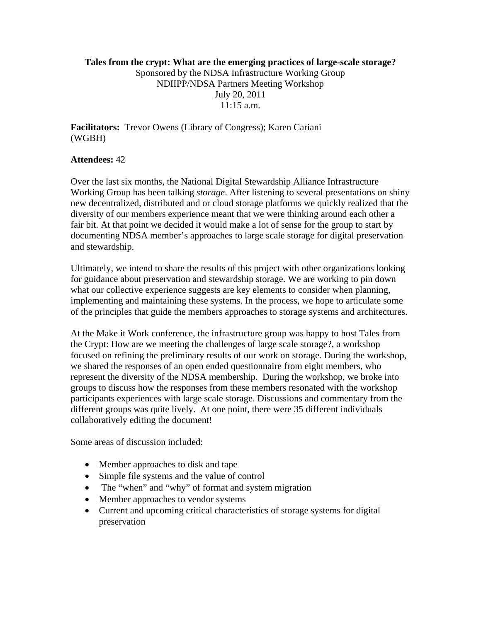## **Tales from the crypt: What are the emerging practices of large-scale storage?**  Sponsored by the NDSA Infrastructure Working Group NDIIPP/NDSA Partners Meeting Workshop July 20, 2011  $11:15$  a.m.

**Facilitators:** Trevor Owens (Library of Congress); Karen Cariani (WGBH)

## **Attendees:** 42

Over the last six months, the National Digital Stewardship Alliance Infrastructure Working Group has been talking *storage*. After listening to several presentations on shiny new decentralized, distributed and or cloud storage platforms we quickly realized that the diversity of our members experience meant that we were thinking around each other a fair bit. At that point we decided it would make a lot of sense for the group to start by documenting NDSA member's approaches to large scale storage for digital preservation and stewardship.

Ultimately, we intend to share the results of this project with other organizations looking for guidance about preservation and stewardship storage. We are working to pin down what our collective experience suggests are key elements to consider when planning, implementing and maintaining these systems. In the process, we hope to articulate some of the principles that guide the members approaches to storage systems and architectures.

At the Make it Work conference, the infrastructure group was happy to host Tales from the Crypt: How are we meeting the challenges of large scale storage?, a workshop focused on refining the preliminary results of our work on storage. During the workshop, we shared the responses of an open ended questionnaire from eight members, who represent the diversity of the NDSA membership. During the workshop, we broke into groups to discuss how the responses from these members resonated with the workshop participants experiences with large scale storage. Discussions and commentary from the different groups was quite lively. At one point, there were 35 different individuals collaboratively editing the document!

Some areas of discussion included:

- Member approaches to disk and tape
- Simple file systems and the value of control
- The "when" and "why" of format and system migration
- Member approaches to vendor systems
- Current and upcoming critical characteristics of storage systems for digital preservation